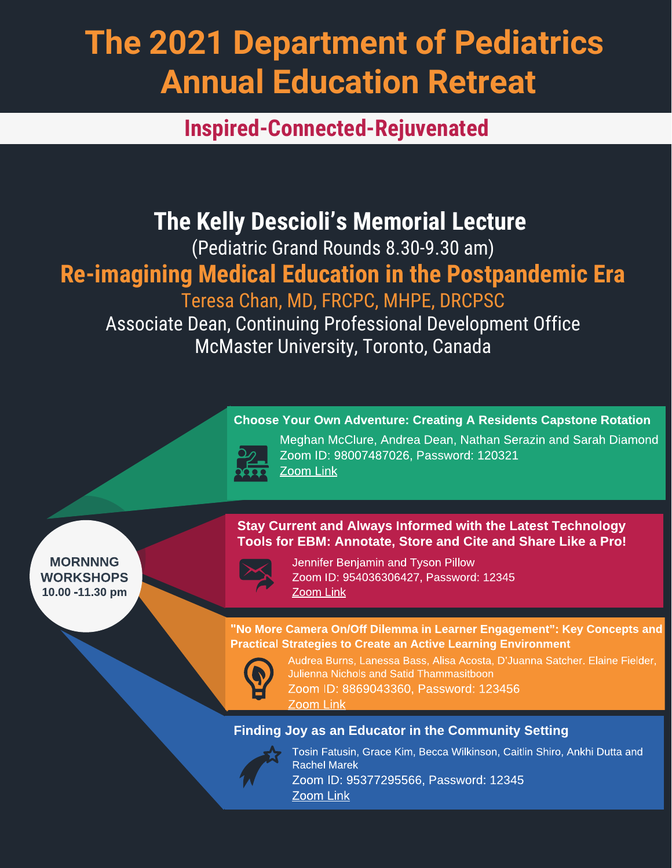# **The 2021 Department of Pediatrics Annual Education Retreat**

**Inspired-Connected-Rejuvenated**

# **The Kelly Descioli's Memorial Lecture**

(Pediatric Grand Rounds 8.30-9.30 am)

## **Re-imagining Medical Education in the Postpandemic Era**

Teresa Chan, MD, FRCPC, MHPE, DRCPSC

Associate Dean, Continuing Professional Development Office McMaster University, Toronto, Canada

## Choose Your Own Adventure: Creating A Residents Capstone Rotation



Meghan McClure, Andrea Dean, Nathan Serazin and Sarah Diamond Zoom ID: 98007487026, Password: 120321 [Zoom Link](https://bcm.zoom.us/j/98007487026)

**MORNNNG WORKSHOPS** 10.00 -11.30 pm

### Stay Current and Always Informed with the Latest Technology Tools for EBM: Annotate, Store and Cite and Share Like a Pro!



Jennifer Benjamin and Tyson Pillow Zoom ID: 954036306427, Password: 12345 [Zoom Link](https://bcm.zoom.us/j/95403630642?pwd=cWhPaGVFYVc5TWVCaEFtM1Y5KzlWZz09)

"No More Camera On/Off Dilemma in Learner Engagement": Key Concepts and Practical Strategies to Create an Active Learning Environment



Audrea Burns, Lanessa Bass, Alisa Acosta, D'Juanna Satcher. Elaine Fielder, Julienna Nichols and Satid Thammasitboon Zoom ID: 8869043360, Password: 123456

[Zoom Link](https://bcm.zoom.us/j/8869043360?pwd=U3lVOHRQZUwyY0dPOEM5UkNGSnVkQT09)

## Finding Joy as an Educator in the Community Setting



Tosin Fatusin, Grace Kim, Becca Wilkinson, Caitlin Shiro, Ankhi Dutta and Rachel Marek Zoom ID: 95377295566, Password: 12345 [Zoom Link](https://bcm.zoom.us/j/95377295566?pwd=bTVnY3U4LzJTRmtrUTdsV1pWNUxqQT09)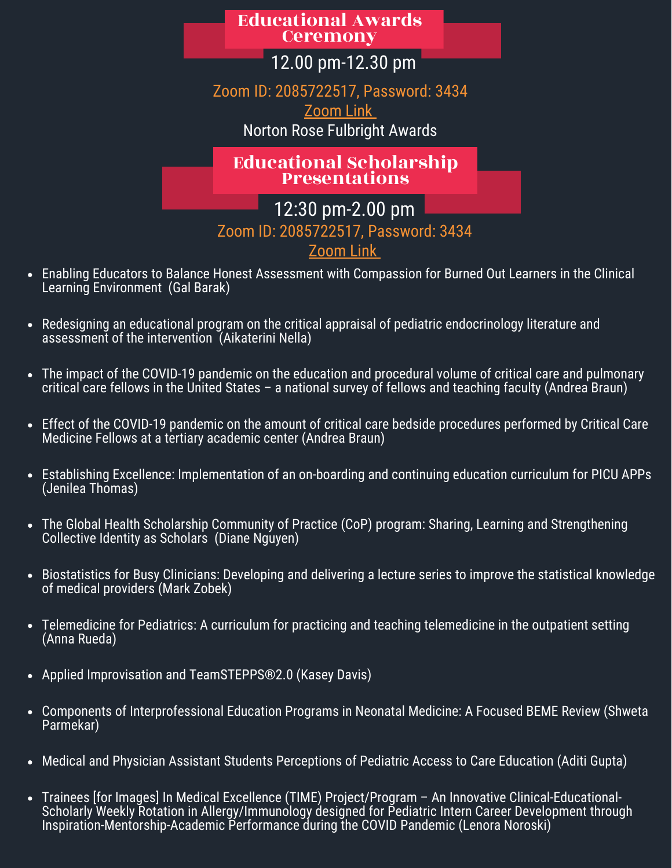## Educational Awards **Ceremony**

12.00 pm-12.30 pm

Zoom ID: 2085722517, Password: 3434

[Zoom Link](https://bcm.zoom.us/j/2085722517?pwd=c3dBK2hXU3NKZUVTaURLM2YvcG9ldz09)

Norton Rose Fulbright Awards

Educational Scholarship Presentations

12:30 pm-2.00 pm

Zoom ID: 2085722517, Password: 3434

[Zoom Link](https://bcm.zoom.us/j/2085722517?pwd=c3dBK2hXU3NKZUVTaURLM2YvcG9ldz09)

- Enabling Educators to Balance Honest Assessment with Compassion for Burned Out Learners in the Clinical Learning Environment (Gal Barak)
- Redesigning an educational program on the critical appraisal of pediatric endocrinology literature and assessment of the intervention (Aikaterini Nella)
- The impact of the COVID-19 pandemic on the education and procedural volume of critical care and pulmonary critical care fellows in the United States – a national survey of fellows and teaching faculty (Andrea Braun)
- Effect of the COVID-19 pandemic on the amount of critical care bedside procedures performed by Critical Care Medicine Fellows at a tertiary academic center (Andrea Braun)
- Establishing Excellence: Implementation of an on-boarding and continuing education curriculum for PICU APPs (Jenilea Thomas)
- The Global Health Scholarship Community of Practice (CoP) program: Sharing, Learning and Strengthening Collective Identity as Scholars (Diane Nguyen)
- Biostatistics for Busy Clinicians: Developing and delivering a lecture series to improve the statistical knowledge of medical providers (Mark Zobek)
- Telemedicine for Pediatrics: A curriculum for practicing and teaching telemedicine in the outpatient setting  $\bullet$ (Anna Rueda)
- Applied Improvisation and TeamSTEPPS®2.0 (Kasey Davis)
- Components of Interprofessional Education Programs in Neonatal Medicine: A Focused BEME Review (Shweta Parmekar)
- Medical and Physician Assistant Students Perceptions of Pediatric Access to Care Education (Aditi Gupta)
- Trainees [for Images] In Medical Excellence (TIME) Project/Program An Innovative Clinical-Educational-Scholarly Weekly Rotation in Allergy/Immunology designed for Pediatric Intern Career Development through Inspiration-Mentorship-Academic Performance during the COVID Pandemic (Lenora Noroski)